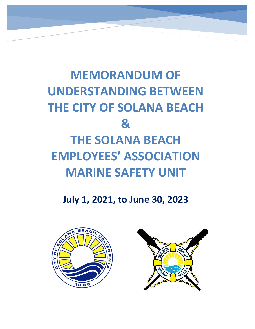# MEMORANDUM OF UNDERSTANDING BETWEEN THE CITY OF SOLANA BEACH & THE SOLANA BEACH EMPLOYEES' ASSOCIATION MARINE SAFETY UNIT

ł

# July 1, 2021, to June 30, 2023

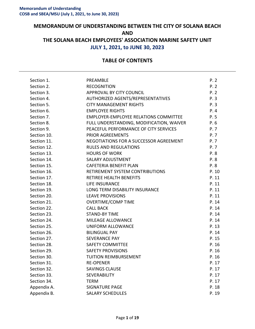## MEMORANDUM OF UNDERSTANDING BETWEEN THE CITY OF SOLANA BEACH AND THE SOLANA BEACH EMPLOYEES' ASSOCIATION MARINE SAFETY UNIT JULY 1, 2021, to JUNE 30, 2023

### TABLE OF CONTENTS

| Section 1.  | PREAMBLE                                     | P. 2  |
|-------------|----------------------------------------------|-------|
| Section 2.  | <b>RECOGNITION</b>                           | P. 2  |
| Section 3.  | APPROVAL BY CITY COUNCIL                     | P. 2  |
| Section 4.  | AUTHORIZED AGENTS/REPRESENTATIVES            | P.3   |
| Section 5.  | <b>CITY MANAGEMENT RIGHTS</b>                | P.3   |
| Section 6.  | <b>EMPLOYEE RIGHTS</b>                       | P.4   |
| Section 7.  | <b>EMPLOYER-EMPLOYEE RELATIONS COMMITTEE</b> | P. 5  |
| Section 8.  | FULL UNDERSTANDING, MODIFICATION, WAIVER     | P. 6  |
| Section 9.  | PEACEFUL PERFORMANCE OF CITY SERVICES        | P. 7  |
| Section 10. | PRIOR AGREEMENTS                             | P. 7  |
| Section 11. | NEGOTIATIONS FOR A SUCCESSOR AGREEMENT       | P. 7  |
| Section 12. | <b>RULES AND REGULATIONS</b>                 | P. 7  |
| Section 13. | <b>HOURS OF WORK</b>                         | P. 8  |
| Section 14. | <b>SALARY ADJUSTMENT</b>                     | P.8   |
| Section 15. | CAFETERIA BENEFIT PLAN                       | P.8   |
| Section 16. | RETIREMENT SYSTEM CONTRIBUTIONS              | P. 10 |
| Section 17. | <b>RETIREE HEALTH BENEFITS</b>               | P. 11 |
| Section 18. | <b>LIFE INSURANCE</b>                        | P. 11 |
| Section 19. | LONG TERM DISABILITY INSURANCE               | P. 11 |
| Section 20. | <b>LEAVE PROVISIONS</b>                      | P. 11 |
| Section 21. | <b>OVERTIME/COMP TIME</b>                    | P. 14 |
| Section 22. | <b>CALL BACK</b>                             | P. 14 |
| Section 23. | <b>STAND-BY TIME</b>                         | P. 14 |
| Section 24. | MILEAGE ALLOWANCE                            | P. 14 |
| Section 25. | UNIFORM ALLOWANCE                            | P. 13 |
| Section 26. | <b>BILINGUAL PAY</b>                         | P. 14 |
| Section 27. | <b>SEVERANCE PAY</b>                         | P. 15 |
| Section 28. | <b>SAFETY COMMITTEE</b>                      | P. 16 |
| Section 29. | <b>SAFETY PROVISIONS</b>                     | P. 16 |
| Section 30. | <b>TUITION REIMBURSEMENT</b>                 | P. 16 |
| Section 31. | <b>RE-OPENER</b>                             | P. 17 |
| Section 32. | <b>SAVINGS CLAUSE</b>                        | P. 17 |
| Section 33. | <b>SEVERABILITY</b>                          | P. 17 |
| Section 34. | <b>TERM</b>                                  | P. 17 |
| Appendix A. | <b>SIGNATURE PAGE</b>                        | P. 18 |
| Appendix B. | <b>SALARY SCHEDULES</b>                      | P. 19 |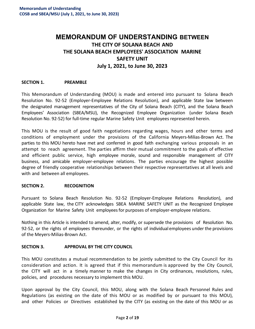# **MEMORANDUM OF UNDERSTANDING** BETWEEN THE CITY OF SOLANA BEACH AND THE SOLANA BEACH EMPLOYEES' ASSOCIATION MARINE SAFETY UNIT July 1, 2021, to June 30, 2023

#### SECTION 1. PREAMBLE

This Memorandum of Understanding (MOU) is made and entered into pursuant to Solana Beach Resolution No. 92-52 (Employer-Employee Relations Resolution), and applicable State law between the designated management representatives of the City of Solana Beach (CITY), and the Solana Beach Employees' Association (SBEA/MSU), the Recognized Employee Organization (under Solana Beach Resolution No. 92-52) for full-time regular Marine Safety Unit employees represented herein.

This MOU is the result of good faith negotiations regarding wages, hours and other terms and conditions of employment under the provisions of the California Meyers-Milias-Brown Act. The parties to this MOU hereto have met and conferred in good faith exchanging various proposals in an attempt to reach agreement. The parties affirm their mutual commitment to the goals of effective and efficient public service, high employee morale, sound and responsible management of CITY business, and amicable employer-employee relations. The parties encourage the highest possible degree of friendly cooperative relationships between their respective representatives at all levels and with and between all employees.

#### SECTION 2. RECOGNITION

Pursuant to Solana Beach Resolution No. 92-52 (Employer-Employee Relations Resolution), and applicable State law, the CITY acknowledges SBEA MARINE SAFETY UNIT as the Recognized Employee Organization for Marine Safety Unit employees for purposes of employer-employee relations.

Nothing in this Article is intended to amend, alter, modify, or supersede the provisions of Resolution No. 92-52, or the rights of employees thereunder, or the rights of individual employees under the provisions of the Meyers-Milias-Brown Act.

#### SECTION 3. APPROVAL BY THE CITY COUNCIL

This MOU constitutes a mutual recommendation to be jointly submitted to the City Council for its consideration and action. It is agreed that if this memorandum is approved by the City Council, the CITY will act in a timely manner to make the changes in City ordinances, resolutions, rules, policies, and procedures necessary to implement this MOU.

Upon approval by the City Council, this MOU, along with the Solana Beach Personnel Rules and Regulations (as existing on the date of this MOU or as modified by or pursuant to this MOU), and other Policies or Directives established by the CITY (as existing on the date of this MOU or as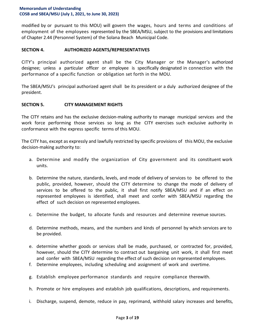modified by or pursuant to this MOU) will govern the wages, hours and terms and conditions of employment of the employees represented by the SBEA/MSU, subject to the provisions and limitations of Chapter 2.44 (Personnel System) of the Solana Beach Municipal Code.

#### SECTION 4. AUTHORIZED AGENTS/REPRESENTATIVES

CITY's principal authorized agent shall be the City Manager or the Manager's authorized designee; unless a particular officer or employee is specifically designated in connection with the performance of a specific function or obligation set forth in the MOU.

The SBEA/MSU's principal authorized agent shall be its president or a duly authorized designee of the president.

#### SECTION 5. CITY MANAGEMENT RIGHTS

The CITY retains and has the exclusive decision-making authority to manage municipal services and the work force performing those services so long as the CITY exercises such exclusive authority in conformance with the express specific terms of this MOU.

The CITY has, except as expressly and lawfully restricted by specific provisions of this MOU, the exclusive decision-making authority to:

- a. Determine and modify the organization of City government and its constituent work units.
- b. Determine the nature, standards, levels, and mode of delivery of services to be offered to the public, provided, however, should the CITY determine to change the mode of delivery of services to be offered to the public, it shall first notify SBEA/MSU and if an effect on represented employees is identified, shall meet and confer with SBEA/MSU regarding the effect of such decision on represented employees.
- c. Determine the budget, to allocate funds and resources and determine revenue sources.
- d. Determine methods, means, and the numbers and kinds of personnel by which services are to be provided.
- e. determine whether goods or services shall be made, purchased, or contracted for, provided, however, should the CITY determine to contract out bargaining unit work, it shall first meet and confer with SBEA/MSU regarding the effect of such decision on represented employees.
- f. Determine employees, including scheduling and assignment of work and overtime.
- g. Establish employee performance standards and require compliance therewith.
- h. Promote or hire employees and establish job qualifications, descriptions, and requirements.
- i. Discharge, suspend, demote, reduce in pay, reprimand, withhold salary increases and benefits,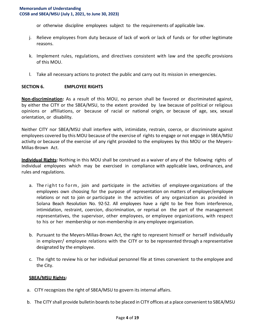or otherwise discipline employees subject to the requirements of applicable law.

- j. Relieve employees from duty because of lack of work or lack of funds or for other legitimate reasons.
- k. Implement rules, regulations, and directives consistent with law and the specific provisions of this MOU.
- l. Take all necessary actions to protect the public and carry out its mission in emergencies.

#### SECTION 6. EMPLOYEE RIGHTS

Non-discrimination: As a result of this MOU, no person shall be favored or discriminated against, by either the CITY or the SBEA/MSU, to the extent provided by law because of political or religious opinions or affiliations, or because of racial or national origin, or because of age, sex, sexual orientation, or disability.

Neither CITY nor SBEA/MSU shall interfere with, intimidate, restrain, coerce, or discriminate against employees covered by this MOU because of the exercise of rights to engage or not engage in SBEA/MSU activity or because of the exercise of any right provided to the employees by this MOU or the Meyers-Milias-Brown Act.

Individual Rights: Nothing in this MOU shall be construed as a waiver of any of the following rights of individual employees which may be exercised in compliance with applicable laws, ordinances, and rules and regulations.

- a. The right to form, join and participate in the activities of employee organizations of the employees own choosing for the purpose of representation on matters of employer/employee relations or not to join or participate in the activities of any organization as provided in Solana Beach Resolution No. 92-52. All employees have a right to be free from interference, intimidation, restraint, coercion, discrimination, or reprisal on the part of the management representatives, the supervisor, other employees, or employee organizations, with respect to his or her membership or non-membership in any employee organization.
- b. Pursuant to the Meyers-Milias-Brown Act, the right to represent himself or herself individually in employer/ employee relations with the CITY or to be represented through a representative designated by the employee.
- c. The right to review his or her individual personnel file at times convenient to the employee and the City.

#### SBEA/MSU Rights:

- a. CITY recognizes the right of SBEA/MSU to govern its internal affairs.
- b. The CITY shall provide bulletin boards to be placed in CITY offices at a place convenient to SBEA/MSU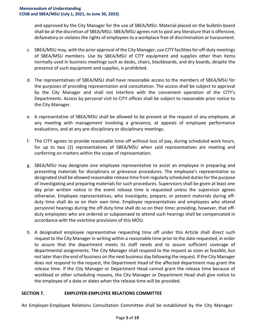and approved by the City Manager for the use of SBEA/MSU. Material placed on the bulletin board shall be at the discretion of SBEA/MSU. SBEA/MSU agrees not to post any literature that is offensive, defamatory or violates the rights of employees to a workplace free of discrimination or harassment.

- c. SBEA/MSU may, with the prior approval of the City Manager, use CITY facilities for off-duty meetings of SBEA/MSU members. Use by SBEA/MSU of CITY equipment and supplies other than items normally used in business meetings such as desks, chairs, blackboards, and dry boards, despite the presence of such equipment and supplies, is prohibited.
- d. The representatives of SBEA/MSU shall have reasonable access to the members of SBEA/MSU for the purposes of providing representation and consultation. The access shall be subject to approval by the City Manager and shall not interfere with the convenient operation of the CITY's Departments. Access by personal visit to CITY offices shall be subject to reasonable prior notice to the City Manager.
- e. A representative of SBEA/MSU shall be allowed to be present at the request of any employee, at any meeting with management involving a grievance, at appeals of employee performance evaluations, and at any pre-disciplinary or disciplinary meetings.
- f. The CITY agrees to provide reasonable time off without loss of pay, during scheduled work hours, for up to two (2) representatives of SBEA/MSU when said representatives are meeting and conferring on matters within the scope of representation.
- g. SBEA/MSU may designate one employee representative to assist an employee in preparing and presenting materials for disciplinary or grievance procedures. The employee's representative so designated shall be allowed reasonable release time from regularly scheduled duties for the purpose of investigating and preparing materials for such procedures. Supervisors shall be given at least one day prior written notice in the event release time is requested unless the supervisor agrees otherwise. Employee representatives, who investigate, prepare, or present materials during offduty time shall do so on their own time. Employee representatives and employees who attend personnel hearings during the off-duty time shall do so on their time; providing, however, that offduty employees who are ordered or subpoenaed to attend such hearings shall be compensated in accordance with the overtime provisions of this MOU.
- h. A designated employee representative requesting time off under this Article shall direct such request to the City Manager in writing within a reasonable time prior to the date requested, in order to assure that the department meets its staff needs and to assure sufficient coverage of departmental assignments. The City Manager shall respond to the request as soon as feasible, but not later than the end of business on the next business day following the request. If the City Manager does not respond to the request, the Department Head of the affected department may grant the release time. If the City Manager or Department Head cannot grant the release time because of workload or other scheduling reasons, the City Manager or Department Head shall give notice to the employee of a date or dates when the release time will be provided.

#### SECTION 7. EMPLOYER-EMPLOYEE RELATIONS COMMITTEE

An Employer-Employee Relations Consultation Committee shall be established by the City Manager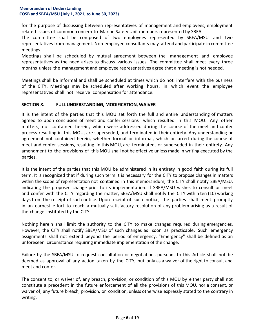for the purpose of discussing between representatives of management and employees, employment related issues of common concern to Marine Safety Unit members represented by SBEA.

The committee shall be composed of two employees represented by SBEA/MSU and two representatives from management. Non-employee consultants may attend and participate in committee meetings.

Meetings shall be scheduled by mutual agreement between the management and employee representatives as the need arises to discuss various issues. The committee shall meet every three months unless the management and employee representatives agree that a meeting is not needed.

Meetings shall be informal and shall be scheduled at times which do not interfere with the business of the CITY. Meetings may be scheduled after working hours, in which event the employee representatives shall not receive compensation for attendance.

#### SECTION 8. FULL UNDERSTANDING, MODIFICATION, WAIVER

It is the intent of the parties that this MOU set forth the full and entire understanding of matters agreed to upon conclusion of meet and confer sessions which resulted in this MOU. Any other matters, not contained herein, which were addressed during the course of the meet and confer process resulting in this MOU, are superseded, and terminated in their entirety. Any understanding or agreement not contained herein, whether formal or informal, which occurred during the course of meet and confer sessions, resulting in this MOU, are terminated, or superseded in their entirety. Any amendment to the provisions of this MOU shall not be effective unless made in writing executed by the parties.

It is the intent of the parties that this MOU be administered in its entirety in good faith during its full term. It is recognized that if during such term it is necessary for the CITY to propose changes in matters within the scope of representation not contained in this memorandum, the CITY shall notify SBEA/MSU, indicating the proposed change prior to its implementation. If SBEA/MSU wishes to consult or meet and confer with the CITY regarding the matter, SBEA/MSU shall notify the CITY within ten (10) working days from the receipt of such notice. Upon receipt of such notice, the parties shall meet promptly in an earnest effort to reach a mutually satisfactory resolution of any problem arising as a result of the change instituted by the CITY.

Nothing herein shall limit the authority to the CITY to make changes required during emergencies. However, the CITY shall notify SBEA/MSU of such changes as soon as practicable. Such emergency assignments shall not extend beyond the period of emergency. "Emergency" shall be defined as an unforeseen circumstance requiring immediate implementation of the change.

Failure by the SBEA/MSU to request consultation or negotiations pursuant to this Article shall not be deemed as approval of any action taken by the CITY, but only as a waiver of the right to consult and meet and confer.

The consent to, or waiver of, any breach, provision, or condition of this MOU by either party shall not constitute a precedent in the future enforcement of all the provisions of this MOU, nor a consent, or waiver of, any future breach, provision, or condition, unless otherwise expressly stated to the contrary in writing.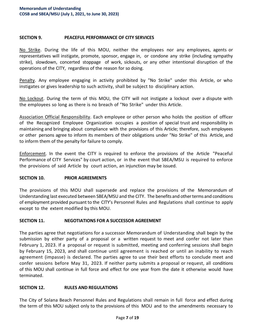#### SECTION 9. PEACEFUL PERFORMANCE OF CITY SERVICES

No Strike. During the life of this MOU, neither the employees nor any employees, agents or representatives will instigate, promote, sponsor, engage in, or condone any strike (including sympathy strike), slowdown, concerted stoppage of work, sickouts, or any other intentional disruption of the operations of the CITY, regardless of the reason for so doing.

Penalty. Any employee engaging in activity prohibited by "No Strike" under this Article, or who instigates or gives leadership to such activity, shall be subject to disciplinary action.

No Lockout. During the term of this MOU, the CITY will not instigate a lockout over a dispute with the employees so long as there is no breach of "No Strike" under this Article.

Association Official Responsibility. Each employee or other person who holds the position of officer of the Recognized Employee Organization occupies a position of special trust and responsibility in maintaining and bringing about compliance with the provisions of this Article; therefore, such employees or other persons agree to inform its members of their obligations under "No Strike" of this Article, and to inform them of the penalty for failure to comply.

Enforcement. In the event the CITY is required to enforce the provisions of the Article "Peaceful Performance of CITY Services" by court action, or in the event that SBEA/MSU is required to enforce the provisions of said Article by court action, an injunction may be issued.

#### SECTION 10. PRIOR AGREEMENTS

The provisions of this MOU shall supersede and replace the provisions of the Memorandum of Understanding last executed between SBEA/MSU and the CITY. The benefits and other terms and conditions of employment provided pursuant to the CITY's Personnel Rules and Regulations shall continue to apply except to the extent modified by this MOU.

#### SECTION 11. NEGOTIATIONS FOR A SUCCESSOR AGREEMENT

The parties agree that negotiations for a successor Memorandum of Understanding shall begin by the submission by either party of a proposal or a written request to meet and confer not later than February 1, 2023. If a proposal or request is submitted, meeting and conferring sessions shall begin by February 15, 2023, and shall continue until agreement is reached or until an inability to reach agreement (impasse) is declared. The parties agree to use their best efforts to conclude meet and confer sessions before May 31, 2023. If neither party submits a proposal or request, all conditions of this MOU shall continue in full force and effect for one year from the date it otherwise would have terminated.

#### SECTION 12. RULES AND REGULATIONS

The City of Solana Beach Personnel Rules and Regulations shall remain in full force and effect during the term of this MOU subject only to the provisions of this MOU and to the amendments necessary to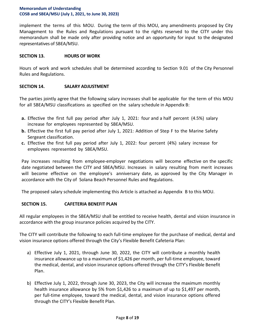implement the terms of this MOU. During the term of this MOU, any amendments proposed by City Management to the Rules and Regulations pursuant to the rights reserved to the CITY under this memorandum shall be made only after providing notice and an opportunity for input to the designated representatives of SBEA/MSU.

#### SECTION 13. HOURS OF WORK

Hours of work and work schedules shall be determined according to Section 9.01 of the City Personnel Rules and Regulations.

#### SECTION 14. SALARY ADJUSTMENT

The parties jointly agree that the following salary increases shall be applicable for the term of this MOU for all SBEA/MSU classifications as specified on the salary schedule in Appendix B:

- a. Effective the first full pay period after July 1, 2021: four and a half percent (4.5%) salary increase for employees represented by SBEA/MSU.
- b. Effective the first full pay period after July 1, 2021: Addition of Step F to the Marine Safety Sergeant classification.
- c. Effective the first full pay period after July 1, 2022: four percent (4%) salary increase for employees represented by SBEA/MSU.

Pay increases resulting from employee-employer negotiations will become effective on the specific date negotiated between the CITY and SBEA/MSU. Increases in salary resulting from merit increases will become effective on the employee's anniversary date, as approved by the City Manager in accordance with the City of Solana Beach Personnel Rules and Regulations.

The proposed salary schedule implementing this Article is attached as Appendix B to this MOU.

#### SECTION 15. CAFETERIA BENEFIT PLAN

All regular employees in the SBEA/MSU shall be entitled to receive health, dental and vision insurance in accordance with the group insurance policies acquired by the CITY.

The CITY will contribute the following to each full-time employee for the purchase of medical, dental and vision insurance options offered through the City's Flexible Benefit Cafeteria Plan:

- a) Effective July 1, 2021, through June 30, 2022, the CITY will contribute a monthly health insurance allowance up to a maximum of \$1,426 per month, per full-time employee, toward the medical, dental, and vision insurance options offered through the CITY's Flexible Benefit Plan.
- b) Effective July 1, 2022, through June 30, 2023, the City will increase the maximum monthly health insurance allowance by 5% from \$1,426 to a maximum of up to \$1,497 per month, per full-time employee, toward the medical, dental, and vision insurance options offered through the CITY's Flexible Benefit Plan.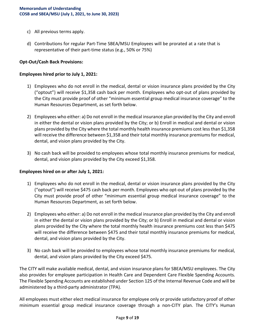- c) All previous terms apply.
- d) Contributions for regular Part-Time SBEA/MSU Employees will be prorated at a rate that is representative of their part-time status (e.g., 50% or 75%)

#### Opt-Out/Cash Back Provisions:

#### Employees hired prior to July 1, 2021:

- 1) Employees who do not enroll in the medical, dental or vision insurance plans provided by the City ("optout") will receive \$1,358 cash back per month. Employees who opt-out of plans provided by the City must provide proof of other "minimum essential group medical insurance coverage" to the Human Resources Department, as set forth below.
- 2) Employees who either: a) Do not enroll in the medical insurance plan provided by the City and enroll in either the dental or vision plans provided by the City; or b) Enroll in medical and dental or vision plans provided by the City where the total monthly health insurance premiums cost less than \$1,358 will receive the difference between \$1,358 and their total monthly insurance premiums for medical, dental, and vision plans provided by the City.
- 3) No cash back will be provided to employees whose total monthly insurance premiums for medical, dental, and vision plans provided by the City exceed \$1,358.

#### Employees hired on or after July 1, 2021:

- 1) Employees who do not enroll in the medical, dental or vision insurance plans provided by the City ("optout") will receive \$475 cash back per month. Employees who opt-out of plans provided by the City must provide proof of other "minimum essential group medical insurance coverage" to the Human Resources Department, as set forth below.
- 2) Employees who either: a) Do not enroll in the medical insurance plan provided by the City and enroll in either the dental or vision plans provided by the City; or b) Enroll in medical and dental or vision plans provided by the City where the total monthly health insurance premiums cost less than \$475 will receive the difference between \$475 and their total monthly insurance premiums for medical, dental, and vision plans provided by the City.
- 3) No cash back will be provided to employees whose total monthly insurance premiums for medical, dental, and vision plans provided by the City exceed \$475.

The CITY will make available medical, dental, and vision insurance plans for SBEA/MSU employees. The City also provides for employee participation in Health Care and Dependent Care Flexible Spending Accounts. The Flexible Spending Accounts are established under Section 125 of the Internal Revenue Code and will be administered by a third-party administrator (TPA).

All employees must either elect medical insurance for employee only or provide satisfactory proof of other minimum essential group medical insurance coverage through a non-CITY plan. The CITY's Human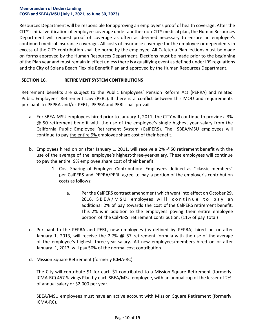Resources Department will be responsible for approving an employee's proof of health coverage. After the CITY's initial verification of employee coverage under another non-CITY medical plan, the Human Resources Department will request proof of coverage as often as deemed necessary to ensure an employee's continued medical insurance coverage. All costs of insurance coverage for the employee or dependents in excess of the CITY contribution shall be borne by the employee. All Cafeteria Plan lections must be made on forms approved by the Human Resources Department. Elections must be made prior to the beginning of the Plan year and must remain in effect unless there is a qualifying event as defined under IRS regulations and the City of Solana Beach Flexible Benefit Plan and approved by the Human Resources Department.

#### SECTION 16. RETIREMENT SYSTEM CONTRIBUTIONS

Retirement benefits are subject to the Public Employees' Pension Reform Act (PEPRA) and related Public Employees' Retirement Law (PERL). If there is a conflict between this MOU and requirements pursuant to PEPRA and/or PERL, PEPRA and PERL shall prevail.

- a. For SBEA-MSU employees hired prior to January 1, 2011, the CITY will continue to provide a 3% @ 50 retirement benefit with the use of the employee's single highest year salary from the California Public Employee Retirement System (CalPERS). The SBEA/MSU employees will continue to pay the entire 9% employee share cost of their benefit.
- b. Employees hired on or after January 1, 2011, will receive a 2% @50 retirement benefit with the use of the average of the employee's highest-three-year-salary. These employees will continue to pay the entire 9% employee share cost of their benefit.
	- 1. Cost Sharing of Employer Contribution: Employees defined as "classic members" per CalPERS and PEPRA/PERL agree to pay a portion of the employer's contribution costs as follows:
		- a. Per the CalPERS contract amendment which went into effect on October 29, 2016, SBEA/MSU employees will continue to pay an additional 2% of pay towards the cost of the CalPERS retirement benefit. This 2% is in addition to the employees paying their entire employee portion of the CalPERS retirement contribution. (11% of pay total)
- c. Pursuant to the PEPRA and PERL, new employees (as defined by PEPRA) hired on or after January 1, 2013, will receive the 2.7%  $\omega$  57 retirement formula with the use of the average of the employee's highest three-year salary. All new employees/members hired on or after January 1, 2013, will pay 50% of the normal cost contribution.
- d. Mission Square Retirement (formerly ICMA-RC)

The City will contribute \$1 for each \$1 contributed to a Mission Square Retirement (formerly ICMA-RC) 457 Savings Plan by each SBEA/MSU employee, with an annual cap of the lesser of 2% of annual salary or \$2,000 per year.

SBEA/MSU employees must have an active account with Mission Square Retirement (formerly ICMA-RC).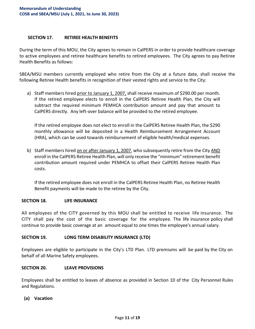#### SECTION 17. RETIREE HEALTH BENEFITS

During the term of this MOU, the City agrees to remain in CalPERS in order to provide healthcare coverage to active employees and retiree healthcare benefits to retired employees. The City agrees to pay Retiree Health Benefits as follows:

SBEA/MSU members currently employed who retire from the City at a future date, shall receive the following Retiree Health benefits in recognition of their vested rights and service to the City:

a) Staff members hired prior to January 1, 2007, shall receive maximum of \$290.00 per month. If the retired employee elects to enroll in the CalPERS Retiree Health Plan, the City will subtract the required minimum PEMHCA contribution amount and pay that amount to CalPERS directly. Any left-over balance will be provided to the retired employee.

If the retired employee does not elect to enroll in the CalPERS Retiree Health Plan, the \$290 monthly allowance will be deposited in a Health Reimbursement Arrangement Account (HRA), which can be used towards reimbursement of eligible health/medical expenses.

b) Staff members hired on or after January 1, 2007, who subsequently retire from the City AND enroll in the CalPERS Retiree Health Plan, will only receive the "minimum" retirement benefit contribution amount required under PEMHCA to offset their CalPERS Retiree Health Plan costs.

If the retired employee does not enroll in the CalPERS Retiree Health Plan, no Retiree Health Benefit payments will be made to the retiree by the City.

#### SECTION 18. LIFE INSURANCE

All employees of the CITY governed by this MOU shall be entitled to receive life insurance. The CITY shall pay the cost of the basic coverage for the employee. The life insurance policy shall continue to provide basic coverage at an amount equal to one times the employee's annual salary.

#### SECTION 19. LONG TERM DISABILITY INSURANCE (LTD)

Employees are eligible to participate in the City's LTD Plan. LTD premiums will be paid by the City on behalf of all Marine Safety employees.

#### SECTION 20. LEAVE PROVISIONS

Employees shall be entitled to leaves of absence as provided in Section 10 of the City Personnel Rules and Regulations.

(a) Vacation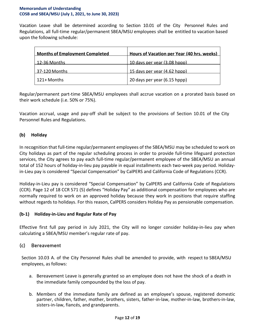Vacation Leave shall be determined according to Section 10.01 of the City Personnel Rules and Regulations, all full-time regular/permanent SBEA/MSU employees shall be entitled to vacation based upon the following schedule:

| <b>Months of Employment Completed</b> | Hours of Vacation per Year (40 hrs. weeks) |
|---------------------------------------|--------------------------------------------|
| 12-36 Months                          | 10 days per year (3.08 hppp)               |
| 37-120 Months                         | 15 days per year (4.62 hppp)               |
| 121+ Months                           | 20 days per year (6.15 hppp)               |

Regular/permanent part-time SBEA/MSU employees shall accrue vacation on a prorated basis based on their work schedule (i.e. 50% or 75%).

Vacation accrual, usage and pay-off shall be subject to the provisions of Section 10.01 of the City Personnel Rules and Regulations.

#### (b) Holiday

In recognition that full-time regular/permanent employees of the SBEA/MSU may be scheduled to work on City holidays as part of the regular scheduling process in order to provide full-time lifeguard protection services, the City agrees to pay each full-time regular/permanent employee of the SBEA/MSU an annual total of 152 hours of holiday-in-lieu pay payable in equal installments each two-week pay period. Holidayin-Lieu pay is considered "Special Compensation" by CalPERS and California Code of Regulations (CCR).

Holiday-in-Lieu pay is considered "Special Compensation" by CalPERS and California Code of Regulations (CCR). Page 12 of 18 CCR 571 (5) defines "Holiday Pay" as additional compensation for employees who are normally required to work on an approved holiday because they work in positions that require staffing without regards to holidays. For this reason, CalPERS considers Holiday Pay as pensionable compensation.

#### (b-1) Holiday-in-Lieu and Regular Rate of Pay

Effective first full pay period in July 2021, the City will no longer consider holiday-in-lieu pay when calculating a SBEA/MSU member's regular rate of pay.

#### (c) Bereavement

Section 10.03 A. of the City Personnel Rules shall be amended to provide, with respect to SBEA/MSU employees, as follows:

- a. Bereavement Leave is generally granted so an employee does not have the shock of a death in the immediate family compounded by the loss of pay.
- b. Members of the immediate family are defined as an employee's spouse, registered domestic partner, children, father, mother, brothers, sisters, father-in-law, mother-in-law, brothers-in-law, sisters-in-law, fiancés, and grandparents.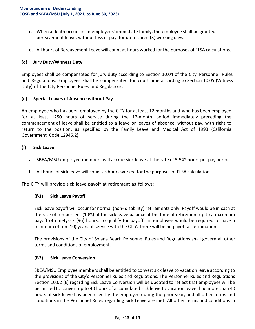- c. When a death occurs in an employees' immediate family, the employee shall be granted bereavement leave, without loss of pay, for up to three (3) working days.
- d. All hours of Bereavement Leave will count as hours worked for the purposes of FLSA calculations.

#### (d) Jury Duty/Witness Duty

Employees shall be compensated for jury duty according to Section 10.04 of the City Personnel Rules and Regulations. Employees shall be compensated for court time according to Section 10.05 (Witness Duty) of the City Personnel Rules and Regulations.

#### (e) Special Leaves of Absence without Pay

An employee who has been employed by the CITY for at least 12 months and who has been employed for at least 1250 hours of service during the 12-month period immediately preceding the commencement of leave shall be entitled to a leave or leaves of absence, without pay, with right to return to the position, as specified by the Family Leave and Medical Act of 1993 (California Government Code 12945.2).

#### (f) Sick Leave

- a. SBEA/MSU employee members will accrue sick leave at the rate of 5.542 hours per pay period.
- b. All hours of sick leave will count as hours worked for the purposes of FLSA calculations.

The CITY will provide sick leave payoff at retirement as follows:

#### (f-1) Sick Leave Payoff

Sick leave payoff will occur for normal (non- disability) retirements only. Payoff would be in cash at the rate of ten percent (10%) of the sick leave balance at the time of retirement up to a maximum payoff of ninety-six (96) hours. To qualify for payoff, an employee would be required to have a minimum of ten (10) years of service with the CITY. There will be no payoff at termination.

The provisions of the City of Solana Beach Personnel Rules and Regulations shall govern all other terms and conditions of employment.

#### (f-2) Sick Leave Conversion

SBEA/MSU Employee members shall be entitled to convert sick leave to vacation leave according to the provisions of the City's Personnel Rules and Regulations. The Personnel Rules and Regulations Section 10.02 (E) regarding Sick Leave Conversion will be updated to reflect that employees will be permitted to convert up to 40 hours of accumulated sick leave to vacation leave if no more than 40 hours of sick leave has been used by the employee during the prior year, and all other terms and conditions in the Personnel Rules regarding Sick Leave are met. All other terms and conditions in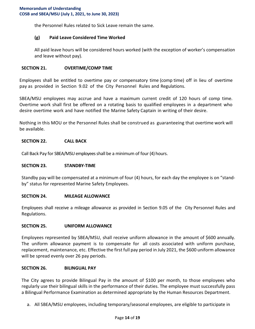the Personnel Rules related to Sick Leave remain the same.

#### (g) Paid Leave Considered Time Worked

All paid leave hours will be considered hours worked (with the exception of worker's compensation and leave without pay).

#### SECTION 21. OVERTIME/COMP TIME

Employees shall be entitled to overtime pay or compensatory time (comp time) off in lieu of overtime pay as provided in Section 9.02 of the City Personnel Rules and Regulations.

SBEA/MSU employees may accrue and have a maximum current credit of 120 hours of comp time. Overtime work shall first be offered on a rotating basis to qualified employees in a department who desire overtime work and have notified the Marine Safety Captain in writing of their desire.

Nothing in this MOU or the Personnel Rules shall be construed as guaranteeing that overtime work will be available.

#### SECTION 22. CALL BACK

Call Back Pay for SBEA/MSU employees shall be a minimum of four (4) hours.

#### SECTION 23. STANDBY-TIME

Standby pay will be compensated at a minimum of four (4) hours, for each day the employee is on "standby" status for represented Marine Safety Employees.

#### SECTION 24. MILEAGE ALLOWANCE

Employees shall receive a mileage allowance as provided in Section 9.05 of the City Personnel Rules and Regulations.

#### SECTION 25. UNIFORM ALLOWANCE

Employees represented by SBEA/MSU, shall receive uniform allowance in the amount of \$600 annually. The uniform allowance payment is to compensate for all costs associated with uniform purchase, replacement, maintenance, etc. Effective the first full pay period in July 2021, the \$600 uniform allowance will be spread evenly over 26 pay periods.

#### SECTION 26. BILINGUAL PAY

The City agrees to provide Bilingual Pay in the amount of \$100 per month, to those employees who regularly use their bilingual skills in the performance of their duties. The employee must successfully pass a Bilingual Performance Examination as determined appropriate by the Human Resources Department.

a. All SBEA/MSU employees, including temporary/seasonal employees, are eligible to participate in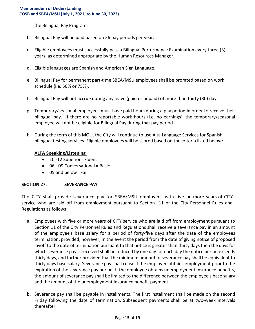the Bilingual Pay Program.

- b. Bilingual Pay will be paid based on 26 pay periods per year.
- c. Eligible employees must successfully pass a Bilingual Performance Examination every three (3) years, as determined appropriate by the Human Resources Manager.
- d. Eligible languages are Spanish and American Sign Language.
- e. Bilingual Pay for permanent part-time SBEA/MSU employees shall be prorated based on work schedule (i.e. 50% or 75%).
- f. Bilingual Pay will not accrue during any leave (paid or unpaid) of more than thirty (30) days.
- g. Temporary/seasonal employees must have paid hours during a pay period in order to receive their bilingual pay. If there are no reportable work hours (i.e. no earnings), the temporary/seasonal employee will not be eligible for Bilingual Pay during that pay period.
- h. During the term of this MOU, the City will continue to use Alta Language Services for Spanish bilingual testing services. Eligible employees will be scored based on the criteria listed below:

#### ALTA Speaking/Listening

- 10 -12 Superior= Fluent
- $\bullet$  06 09 Conversational = Basic
- 05 and below= Fail

#### SECTION 27. SEVERANCE PAY

The CITY shall provide severance pay for SBEA/MSU employees with five or more years of CITY service who are laid off from employment pursuant to Section 11 of the City Personnel Rules and Regulations as follows:

- a. Employees with five or more years of CITY service who are laid off from employment pursuant to Section 11 of the City Personnel Rules and Regulations shall receive a severance pay in an amount of the employee's base salary for a period of forty-five days after the date of the employees termination; provided, however, in the event the period from the date of giving notice of proposed layoff to the date of termination pursuant to that notice is greater than thirty days then the days for which severance pay is received shall be reduced by one day for each day the notice period exceeds thirty days, and further provided that the minimum amount of severance pay shall be equivalent to thirty days base salary. Severance pay shall cease if the employee obtains employment prior to the expiration of the severance pay period. If the employee obtains unemployment insurance benefits, the amount of severance pay shall be limited to the difference between the employee's base salary and the amount of the unemployment insurance benefit payment.
- b. Severance pay shall be payable in installments. The first installment shall be made on the second Friday following the date of termination. Subsequent payments shall be at two-week intervals thereafter.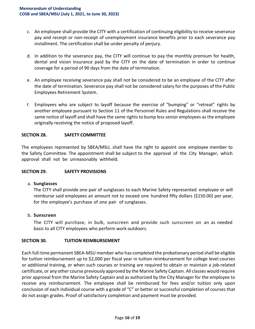- c. An employee shall provide the CITY with a certification of continuing eligibility to receive severance pay and receipt or non-receipt of unemployment insurance benefits prior to each severance pay installment. The certification shall be under penalty of perjury.
- d. In addition to the severance pay, the CITY will continue to pay the monthly premium for health, dental and vision insurance paid by the CITY on the date of termination in order to continue coverage for a period of 90 days from the date of termination.
- e. An employee receiving severance pay shall not be considered to be an employee of the CITY after the date of termination. Severance pay shall not be considered salary for the purposes of the Public Employees Retirement System.
- f. Employees who are subject to layoff because the exercise of "bumping" or "retreat" rights by another employee pursuant to Section 11 of the Personnel Rules and Regulations shall receive the same notice of layoff and shall have the same rights to bump less senior employees as the employee originally receiving the notice of proposed layoff.

#### SECTION 28. SAFETY COMMITTEE

The employees represented by SBEA/MSU, shall have the right to appoint one employee member to the Safety Committee. The appointment shall be subject to the approval of the City Manager, which approval shall not be unreasonably withheld.

#### SECTION 29. SAFETY PROVISIONS

#### a. Sunglasses

The CITY shall provide one pair of sunglasses to each Marine Safety represented employee or will reimburse said employees an amount not to exceed one hundred fifty dollars (\$150.00) per year, for the employee's purchase of one pair of sunglasses.

#### b. Sunscreen

The CITY will purchase, in bulk, sunscreen and provide such sunscreen on an as needed basis to all CITY employees who perform work outdoors.

#### SECTION 30. TUITION REIMBURSEMENT

Each full-time permanent SBEA-MSU member who has completed the probationary period shall be eligible for tuition reimbursement up to \$2,000 per fiscal year in tuition reimbursement for college level courses or additional training, or when such courses or training are required to obtain or maintain a job-related certificate, or any other course previously approved by the Marine Safety Captain. All classes would require prior approval from the Marine Safety Captain and as authorized by the City Manager for the employee to receive any reimbursement. The employee shall be reimbursed for fees and/or tuition only upon conclusion of each individual course with a grade of "C" or better or successful completion of courses that do not assign grades. Proof of satisfactory completion and payment must be provided.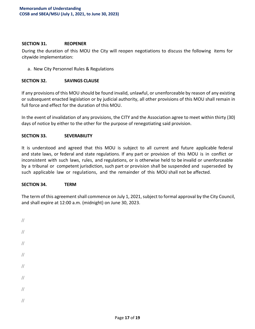#### SECTION 31. REOPENER

During the duration of this MOU the City will reopen negotiations to discuss the following items for citywide implementation:

a. New City Personnel Rules & Regulations

#### SECTION 32. SAVINGS CLAUSE

If any provisions of this MOU should be found invalid, unlawful, or unenforceable by reason of any existing or subsequent enacted legislation or by judicial authority, all other provisions of this MOU shall remain in full force and effect for the duration of this MOU.

In the event of invalidation of any provisions, the CITY and the Association agree to meet within thirty (30) days of notice by either to the other for the purpose of renegotiating said provision.

#### SECTION 33. SEVERABILITY

It is understood and agreed that this MOU is subject to all current and future applicable federal and state laws, or federal and state regulations. If any part or provision of this MOU is in conflict or inconsistent with such laws, rules, and regulations, or is otherwise held to be invalid or unenforceable by a tribunal or competent jurisdiction, such part or provision shall be suspended and superseded by such applicable law or regulations, and the remainder of this MOU shall not be affected.

#### SECTION 34. TERM

The term of this agreement shall commence on July 1, 2021, subject to formal approval by the City Council, and shall expire at 12:00 a.m. (midnight) on June 30, 2023.

| $\mathcal{U}$ |  |  |  |
|---------------|--|--|--|
| $\sqrt{}$     |  |  |  |
| $\mathcal{U}$ |  |  |  |
| $\mathcal{U}$ |  |  |  |
| $\mathcal{U}$ |  |  |  |
| $\mathcal{U}$ |  |  |  |
| $\mathcal{U}$ |  |  |  |
| $\!/\!$       |  |  |  |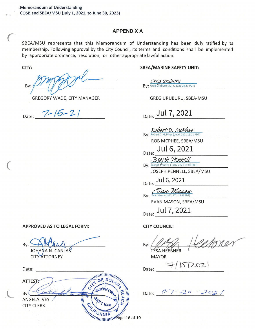#### **APPENDIX A**

SBEA/MSU represents that this Memorandum of Understanding has been duly ratified by its membership. Following approval by the City Council, its terms and conditions shall be implemented by appropriate ordinance, resolution, or other appropriate lawful action.

CITY:

Bv:

GREGORY WADE, CITY MANAGER

Date:  $7 - 15 - 21$ 

**APPROVED AS TO LEGAL FORM:** 

By: JO

**CITY ATTORNEY** Date:

**ANNIMIRAL** ATTEST: **Bv ANTISER SERVIT DEBATE OF THE CALL OF NIA ANGELA IVEY CITY CLERK** 

#### **SBEA/MARINE SAFETY UNIT:**

Grea Uruburu Bv: Greg Uruburu (Jul 7, 2021 08:37 PDT)

GREG URUBURU, SBEA-MSU

Date: Jul 7, 2021

By: Robert D. McPhee (Jul 6, 2021 16:11 PDT) ROB MCPHEE, SBEA/MSU Date: Jul 6, 2021 By: Joseph Pennell (Jul 6, 2021 16:09 PDT)

JOSEPH PENNELL, SBEA/MSU

Date: Jul 6, 2021

Van Mason By: Evan Mason (Jul 7, 2021 12:4)

EVAN MASON, SBEA/MSU

Date: Jul 7, 2021

**CITY COUNCIL:** 

By: LESA HEEBNER

**MAYOR** 

 $7/5/202$ Date:

Date:  $07 - 20 - 202$